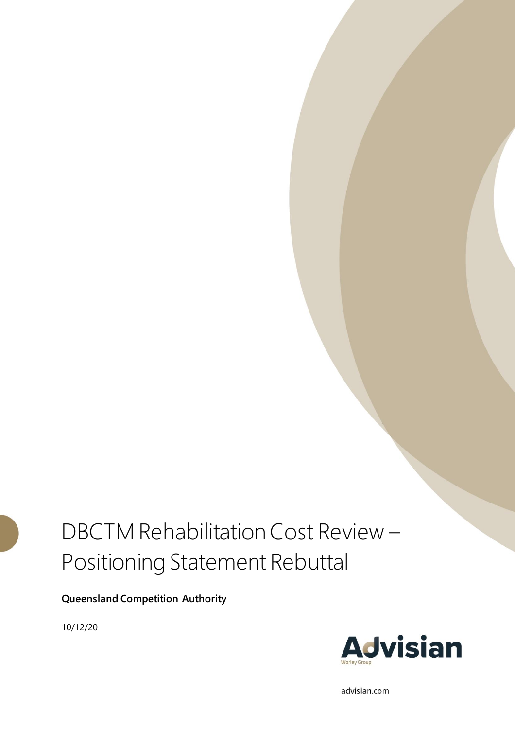# DBCTM Rehabilitation Cost Review – Positioning Statement Rebuttal

### **Queensland Competition Authority**

10/12/20



advisian.com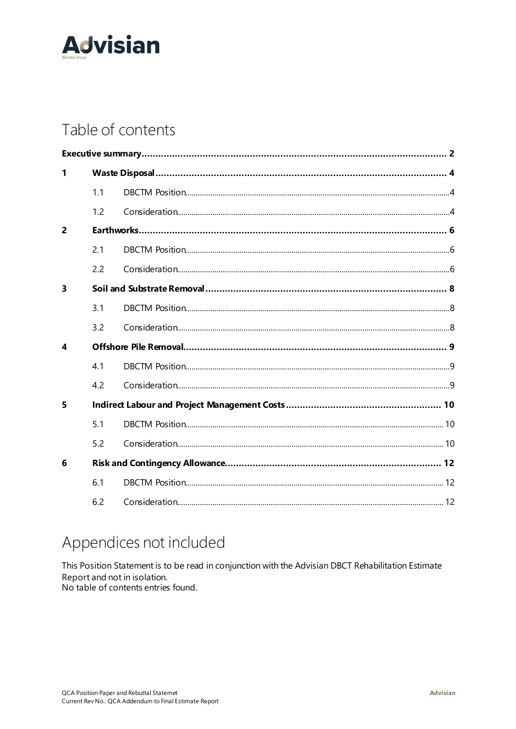

# Table of contents

| 1              |     |  |  |  |  |
|----------------|-----|--|--|--|--|
|                | 1.1 |  |  |  |  |
|                | 1.2 |  |  |  |  |
| $\overline{2}$ |     |  |  |  |  |
|                | 2.1 |  |  |  |  |
|                | 2.2 |  |  |  |  |
| 3              |     |  |  |  |  |
|                | 3.1 |  |  |  |  |
|                | 3.2 |  |  |  |  |
| 4              |     |  |  |  |  |
|                | 4.1 |  |  |  |  |
|                | 4.2 |  |  |  |  |
| 5              |     |  |  |  |  |
|                | 5.1 |  |  |  |  |
|                | 5.2 |  |  |  |  |
| 6              |     |  |  |  |  |
|                | 6.1 |  |  |  |  |
|                | 6.2 |  |  |  |  |

# Appendices not included

This Position Statement is to be read in conjunction with the Advisian DBCT Rehabilitation Estimate Report and not in isolation. No table of contents entries found.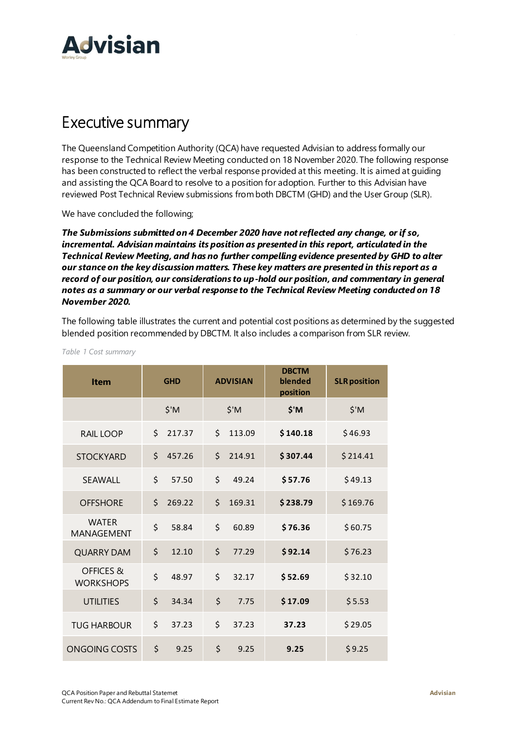

### <span id="page-2-0"></span>Executive summary

The Queensland Competition Authority (QCA) have requested Advisian to address formally our response to the Technical Review Meeting conducted on 18 November 2020. The following response has been constructed to reflect the verbal response provided at this meeting. It is aimed at guiding and assisting the QCA Board to resolve to a position for adoption. Further to this Advisian have reviewed Post Technical Review submissions from both DBCTM (GHD) and the User Group (SLR).

We have concluded the following:

*The Submissions submitted on 4 December 2020 have not reflected any change, or if so, incremental. Advisian maintains its position as presented in this report, articulated in the Technical Review Meeting, and has no further compelling evidence presented by GHD to alter our stance on the key discussion matters. These key matters are presented in this report as a record of our position, our considerations to up-hold our position, and commentary in general notes as a summary or our verbal response to the Technical Review Meeting conducted on 18 November 2020.*

The following table illustrates the current and potential cost positions as determined by the suggested blended position recommended by DBCTM. It also includes a comparison from SLR review.

| <b>Item</b>                       | <b>GHD</b>       | <b>ADVISIAN</b> | <b>DBCTM</b><br>blended<br>position | <b>SLR position</b> |
|-----------------------------------|------------------|-----------------|-------------------------------------|---------------------|
|                                   | $$^{\prime}$ M   | $$^{\prime}$ M  | \$'M                                | $$^{\prime}$ M      |
| <b>RAIL LOOP</b>                  | \$<br>217.37     | \$<br>113.09    | \$140.18                            | \$46.93             |
| <b>STOCKYARD</b>                  | \$<br>457.26     | \$<br>214.91    | \$307.44                            | \$214.41            |
| SEAWALL                           | \$<br>57.50      | \$<br>49.24     | \$57.76                             | \$49.13             |
| <b>OFFSHORE</b>                   | \$<br>269.22     | \$<br>169.31    | \$238.79                            | \$169.76            |
| <b>WATER</b><br><b>MANAGEMENT</b> | $\zeta$<br>58.84 | \$<br>60.89     | \$76.36                             | \$60.75             |
| <b>QUARRY DAM</b>                 | \$<br>12.10      | \$<br>77.29     | \$92.14                             | \$76.23             |
| OFFICES &<br><b>WORKSHOPS</b>     | \$<br>48.97      | \$<br>32.17     | \$52.69                             | \$32.10             |
| <b>UTILITIES</b>                  | \$<br>34.34      | \$<br>7.75      | \$17.09                             | \$5.53              |
| <b>TUG HARBOUR</b>                | \$<br>37.23      | \$<br>37.23     | 37.23                               | \$29.05             |
| <b>ONGOING COSTS</b>              | \$<br>9.25       | \$<br>9.25      | 9.25                                | \$9.25              |

*Table 1 Cost summary*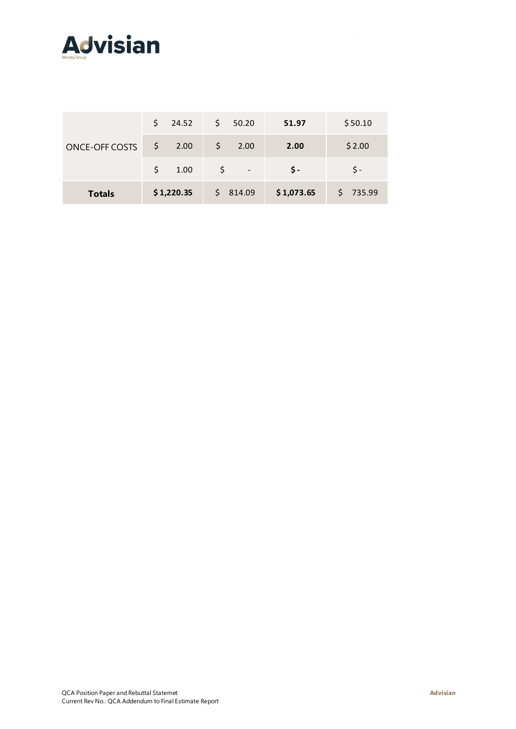

|                       |    | \$24.52    | $\mathsf{S}$ | 50.20                    | 51.97      | \$50.10 |
|-----------------------|----|------------|--------------|--------------------------|------------|---------|
| <b>ONCE-OFF COSTS</b> | S. | 2.00       |              | 2.00                     | 2.00       | \$2.00  |
|                       | S. | 1.00       |              | $\overline{\phantom{a}}$ | S -        | S -     |
| <b>Totals</b>         |    | \$1,220.35 | S.           | 814.09                   | \$1,073.65 | 735.99  |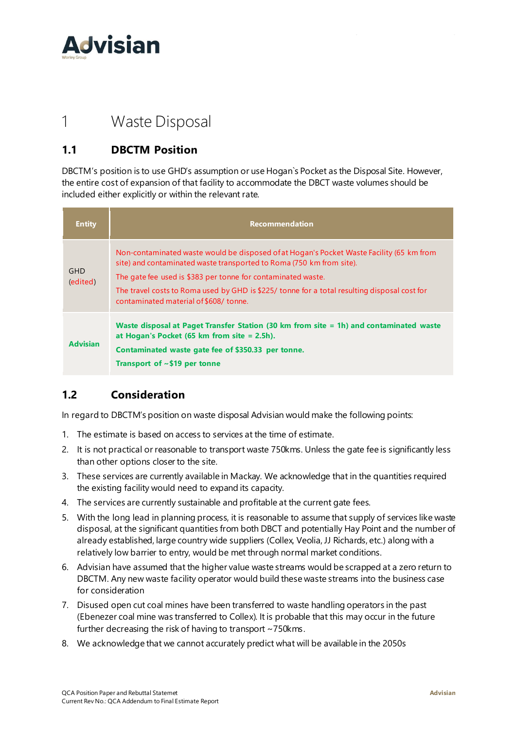

## <span id="page-4-0"></span>1 Waste Disposal

#### <span id="page-4-1"></span>**1.1 DBCTM Position**

DBCTM's position is to use GHD's assumption or use Hogan`s Pocket as the Disposal Site. However, the entire cost of expansion of that facility to accommodate the DBCT waste volumes should be included either explicitly or within the relevant rate.

| <b>Entity</b>          | <b>Recommendation</b>                                                                                                                                                                                                                                                                                                                                                      |
|------------------------|----------------------------------------------------------------------------------------------------------------------------------------------------------------------------------------------------------------------------------------------------------------------------------------------------------------------------------------------------------------------------|
| <b>GHD</b><br>(edited) | Non-contaminated waste would be disposed of at Hogan's Pocket Waste Facility (65 km from<br>site) and contaminated waste transported to Roma (750 km from site).<br>The gate fee used is \$383 per tonne for contaminated waste.<br>The travel costs to Roma used by GHD is \$225/ tonne for a total resulting disposal cost for<br>contaminated material of \$608/ tonne. |
| <b>Advisian</b>        | Waste disposal at Paget Transfer Station (30 km from site = 1h) and contaminated waste<br>at Hogan's Pocket $(65 \text{ km from site} = 2.5 \text{h}).$<br>Contaminated waste gate fee of \$350.33 per tonne.<br>Transport of $\sim$ \$19 per tonne                                                                                                                        |

#### <span id="page-4-2"></span>**1.2 Consideration**

In regard to DBCTM's position on waste disposal Advisian would make the following points:

- 1. The estimate is based on access to services at the time of estimate.
- 2. It is not practical or reasonable to transport waste 750kms. Unless the gate fee is significantly less than other options closer to the site.
- 3. These services are currently available in Mackay. We acknowledge that in the quantities required the existing facility would need to expand its capacity.
- 4. The services are currently sustainable and profitable at the current gate fees.
- 5. With the long lead in planning process, it is reasonable to assume that supply of services like waste disposal, at the significant quantities from both DBCT and potentially Hay Point and the number of already established, large country wide suppliers (Collex, Veolia, JJ Richards, etc.) along with a relatively low barrier to entry, would be met through normal market conditions.
- 6. Advisian have assumed that the higher value waste streams would be scrapped at a zero return to DBCTM. Any new waste facility operator would build these waste streams into the business case for consideration
- 7. Disused open cut coal mines have been transferred to waste handling operators in the past (Ebenezer coal mine was transferred to Collex). It is probable that this may occur in the future further decreasing the risk of having to transport ~750kms.
- 8. We acknowledge that we cannot accurately predict what will be available in the 2050s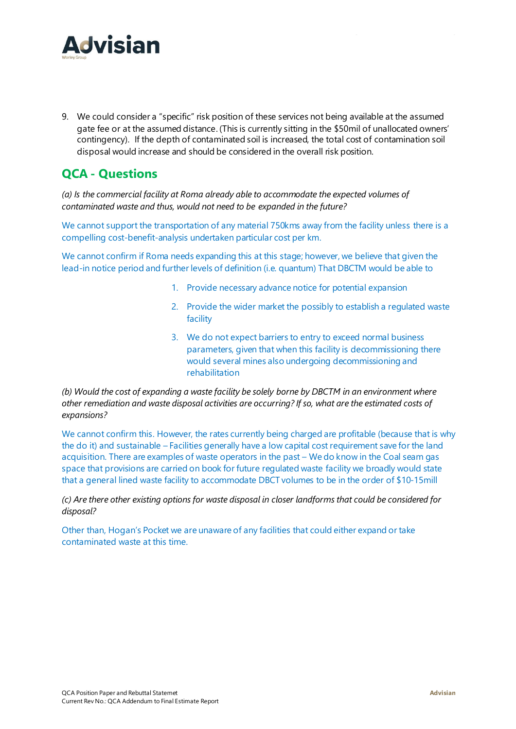

9. We could consider a "specific" risk position of these services not being available at the assumed gate fee or at the assumed distance. (This is currently sitting in the \$50mil of unallocated owners' contingency). If the depth of contaminated soil is increased, the total cost of contamination soil disposal would increase and should be considered in the overall risk position.

### **QCA - Questions**

*(a) Is the commercial facility at Roma already able to accommodate the expected volumes of contaminated waste and thus, would not need to be expanded in the future?*

We cannot support the transportation of any material 750kms away from the facility unless there is a compelling cost-benefit-analysis undertaken particular cost per km.

We cannot confirm if Roma needs expanding this at this stage; however, we believe that given the lead-in notice period and further levels of definition (i.e. quantum) That DBCTM would be able to

- 1. Provide necessary advance notice for potential expansion
- 2. Provide the wider market the possibly to establish a regulated waste facility
- 3. We do not expect barriers to entry to exceed normal business parameters, given that when this facility is decommissioning there would several mines also undergoing decommissioning and rehabilitation

*(b) Would the cost of expanding a waste facility be solely borne by DBCTM in an environment where other remediation and waste disposal activities are occurring? If so, what are the estimated costs of expansions?*

We cannot confirm this. However, the rates currently being charged are profitable (because that is why the do it) and sustainable – Facilities generally have a low capital cost requirement save for the land acquisition. There are examples of waste operators in the past – We do know in the Coal seam gas space that provisions are carried on book for future regulated waste facility we broadly would state that a general lined waste facility to accommodate DBCT volumes to be in the order of \$10-15mill

*(c) Are there other existing options for waste disposal in closer landforms that could be considered for disposal?*

Other than, Hogan's Pocket we are unaware of any facilities that could either expand or take contaminated waste at this time.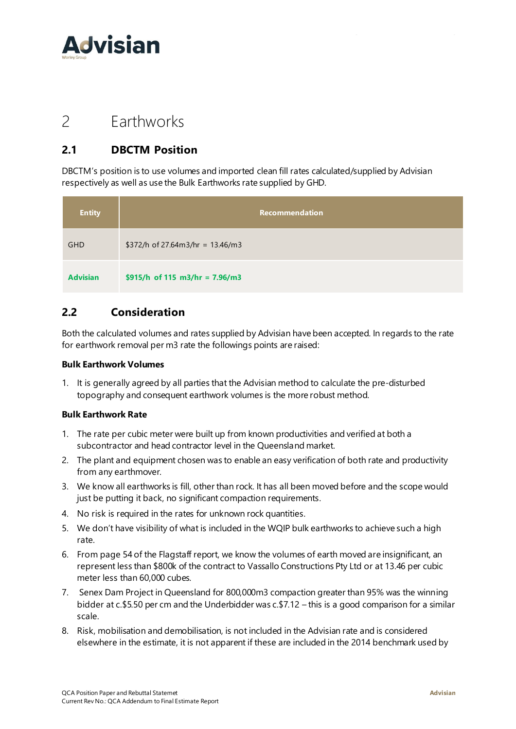

### <span id="page-6-0"></span>2 Earthworks

#### <span id="page-6-1"></span>**2.1 DBCTM Position**

DBCTM's position is to use volumes and imported clean fill rates calculated/supplied by Advisian respectively as well as use the Bulk Earthworks rate supplied by GHD.

| <b>Entity</b>   | Recommendation                      |
|-----------------|-------------------------------------|
| <b>GHD</b>      | \$372/h of 27.64m3/hr = $13.46$ /m3 |
| <b>Advisian</b> | \$915/h of 115 m3/hr = $7.96/m3$    |

#### <span id="page-6-2"></span>**2.2 Consideration**

Both the calculated volumes and rates supplied by Advisian have been accepted. In regards to the rate for earthwork removal per m3 rate the followings points are raised:

#### **Bulk Earthwork Volumes**

1. It is generally agreed by all parties that the Advisian method to calculate the pre-disturbed topography and consequent earthwork volumes is the more robust method.

#### **Bulk Earthwork Rate**

- 1. The rate per cubic meter were built up from known productivities and verified at both a subcontractor and head contractor level in the Queensland market.
- 2. The plant and equipment chosen was to enable an easy verification of both rate and productivity from any earthmover.
- 3. We know all earthworks is fill, other than rock. It has all been moved before and the scope would just be putting it back, no significant compaction requirements.
- 4. No risk is required in the rates for unknown rock quantities.
- 5. We don't have visibility of what is included in the WQIP bulk earthworks to achieve such a high rate.
- 6. From page 54 of the Flagstaff report, we know the volumes of earth moved are insignificant, an represent less than \$800k of the contract to Vassallo Constructions Pty Ltd or at 13.46 per cubic meter less than 60,000 cubes.
- 7. Senex Dam Project in Queensland for 800,000m3 compaction greater than 95% was the winning bidder at c.\$5.50 per cm and the Underbidder was c.\$7.12 – this is a good comparison for a similar scale.
- 8. Risk, mobilisation and demobilisation, is not included in the Advisian rate and is considered elsewhere in the estimate, it is not apparent if these are included in the 2014 benchmark used by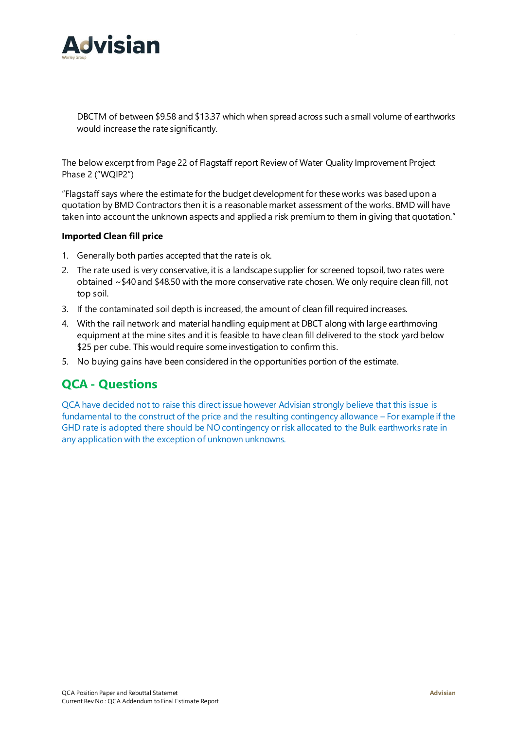

DBCTM of between \$9.58 and \$13.37 which when spread across such a small volume of earthworks would increase the rate significantly.

The below excerpt from Page 22 of Flagstaff report Review of Water Quality Improvement Project Phase 2 ("WQIP2")

"Flagstaff says where the estimate for the budget development for these works was based upon a quotation by BMD Contractors then it is a reasonable market assessment of the works. BMD will have taken into account the unknown aspects and applied a risk premium to them in giving that quotation."

#### **Imported Clean fill price**

- 1. Generally both parties accepted that the rate is ok.
- 2. The rate used is very conservative, it is a landscape supplier for screened topsoil, two rates were obtained ~\$40 and \$48.50 with the more conservative rate chosen. We only require clean fill, not top soil.
- 3. If the contaminated soil depth is increased, the amount of clean fill required increases.
- 4. With the rail network and material handling equipment at DBCT along with large earthmoving equipment at the mine sites and it is feasible to have clean fill delivered to the stock yard below \$25 per cube. This would require some investigation to confirm this.
- 5. No buying gains have been considered in the opportunities portion of the estimate.

### **QCA - Questions**

QCA have decided not to raise this direct issue however Advisian strongly believe that this issue is fundamental to the construct of the price and the resulting contingency allowance – For example if the GHD rate is adopted there should be NO contingency or risk allocated to the Bulk earthworks rate in any application with the exception of unknown unknowns.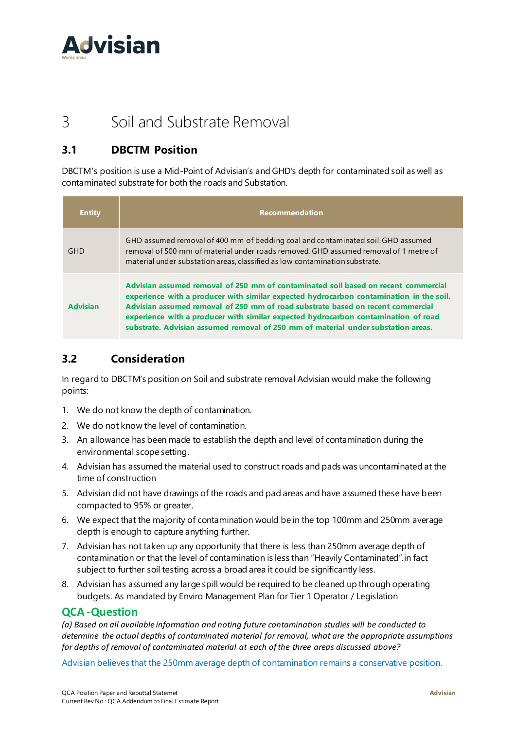

# <span id="page-8-0"></span>3 Soil and Substrate Removal

#### <span id="page-8-1"></span>**3.1 DBCTM Position**

DBCTM's position is use a Mid-Point of Advisian's and GHD's depth for contaminated soil as well as contaminated substrate for both the roads and Substation.

| <b>Entity</b>   | <b>Recommendation</b>                                                                                                                                                                                                                                                                                                                                                                                                                       |
|-----------------|---------------------------------------------------------------------------------------------------------------------------------------------------------------------------------------------------------------------------------------------------------------------------------------------------------------------------------------------------------------------------------------------------------------------------------------------|
| <b>GHD</b>      | GHD assumed removal of 400 mm of bedding coal and contaminated soil. GHD assumed<br>removal of 500 mm of material under roads removed GHD assumed removal of 1 metre of<br>material under substation areas, classified as low contamination substrate.                                                                                                                                                                                      |
| <b>Advisian</b> | Advisian assumed removal of 250 mm of contaminated soil based on recent commercial<br>experience with a producer with similar expected hydrocarbon contamination in the soil.<br>Advisian assumed removal of 250 mm of road substrate based on recent commercial<br>experience with a producer with similar expected hydrocarbon contamination of road<br>substrate. Advisian assumed removal of 250 mm of material under substation areas. |

#### <span id="page-8-2"></span>**3.2 Consideration**

In regard to DBCTM's position on Soil and substrate removal Advisian would make the following points:

- 1. We do not know the depth of contamination.
- 2. We do not know the level of contamination.
- 3. An allowance has been made to establish the depth and level of contamination during the environmental scope setting.
- 4. Advisian has assumed the material used to construct roads and pads was uncontaminated at the time of construction
- 5. Advisian did not have drawings of the roads and pad areas and have assumed these have been compacted to 95% or greater.
- 6. We expect that the majority of contamination would be in the top 100mm and 250mm average depth is enough to capture anything further.
- 7. Advisian has not taken up any opportunity that there is less than 250mm average depth of contamination or that the level of contamination is less than "Heavily Contaminated".in fact subject to further soil testing across a broad area it could be significantly less.
- 8. Advisian has assumed any large spill would be required to be cleaned up through operating budgets. As mandated by Enviro Management Plan for Tier 1 Operator / Legislation

#### **QCA -Question**

*(a) Based on all available information and noting future contamination studies will be conducted to determine the actual depths of contaminated material for removal, what are the appropriate assumptions for depths of removal of contaminated material at each of the three areas discussed above?* 

Advisian believes that the 250mm average depth of contamination remains a conservative position.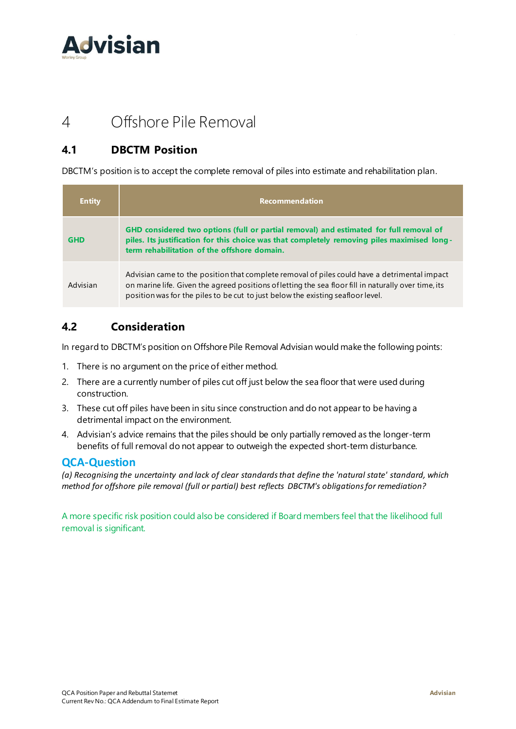

## <span id="page-9-0"></span>4 Offshore Pile Removal

#### <span id="page-9-1"></span>**4.1 DBCTM Position**

DBCTM's position is to accept the complete removal of piles into estimate and rehabilitation plan.

| <b>Entity</b> | <b>Recommendation</b>                                                                                                                                                                                                                                                                   |
|---------------|-----------------------------------------------------------------------------------------------------------------------------------------------------------------------------------------------------------------------------------------------------------------------------------------|
| <b>GHD</b>    | GHD considered two options (full or partial removal) and estimated for full removal of<br>piles. Its justification for this choice was that completely removing piles maximised long-<br>term rehabilitation of the offshore domain.                                                    |
| Advisian      | Advisian came to the position that complete removal of piles could have a detrimental impact<br>on marine life. Given the agreed positions of letting the sea floor fill in naturally over time, its<br>position was for the piles to be cut to just below the existing seafloor level. |

#### <span id="page-9-2"></span>**4.2 Consideration**

In regard to DBCTM's position on Offshore Pile Removal Advisian would make the following points:

- 1. There is no argument on the price of either method.
- 2. There are a currently number of piles cut off just below the sea floor that were used during construction.
- 3. These cut off piles have been in situ since construction and do not appear to be having a detrimental impact on the environment.
- 4. Advisian's advice remains that the piles should be only partially removed as the longer-term benefits of full removal do not appear to outweigh the expected short-term disturbance.

#### **QCA-Question**

*(a) Recognising the uncertainty and lack of clear standards that define the 'natural state' standard, which method for offshore pile removal (full or partial) best reflects DBCTM's obligations for remediation?* 

A more specific risk position could also be considered if Board members feel that the likelihood full removal is significant.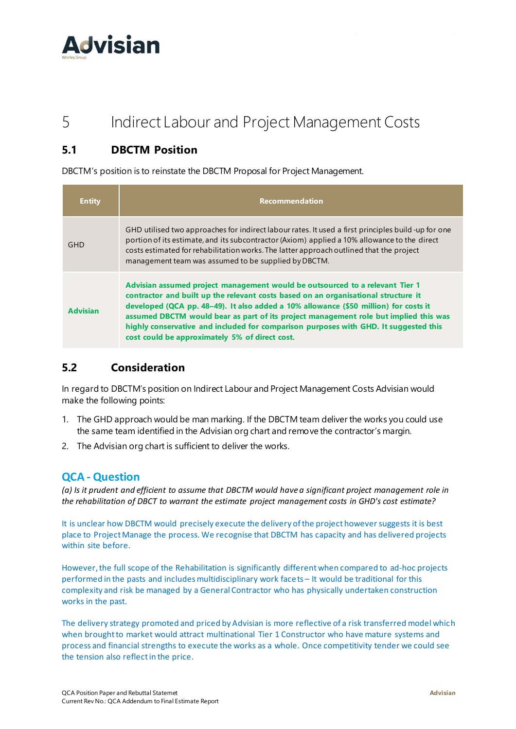

## <span id="page-10-0"></span>5 Indirect Labour and Project Management Costs

#### <span id="page-10-1"></span>**5.1 DBCTM Position**

DBCTM's position is to reinstate the DBCTM Proposal for Project Management.

| <b>Entity</b>   | <b>Recommendation</b>                                                                                                                                                                                                                                                                                                                                                                                                                                                                        |
|-----------------|----------------------------------------------------------------------------------------------------------------------------------------------------------------------------------------------------------------------------------------------------------------------------------------------------------------------------------------------------------------------------------------------------------------------------------------------------------------------------------------------|
| <b>GHD</b>      | GHD utilised two approaches for indirect labour rates. It used a first principles build-up for one<br>portion of its estimate, and its subcontractor (Axiom) applied a 10% allowance to the direct<br>costs estimated for rehabilitation works. The latter approach outlined that the project<br>management team was assumed to be supplied by DBCTM.                                                                                                                                        |
| <b>Advisian</b> | Advisian assumed project management would be outsourced to a relevant Tier 1<br>contractor and built up the relevant costs based on an organisational structure it<br>developed (QCA pp. 48–49). It also added a 10% allowance (\$50 million) for costs it<br>assumed DBCTM would bear as part of its project management role but implied this was<br>highly conservative and included for comparison purposes with GHD. It suggested this<br>cost could be approximately 5% of direct cost. |

#### <span id="page-10-2"></span>**5.2 Consideration**

In regard to DBCTM's position on Indirect Labour and Project Management Costs Advisian would make the following points:

- 1. The GHD approach would be man marking. If the DBCTM team deliver the works you could use the same team identified in the Advisian org chart and remove the contractor's margin.
- 2. The Advisian org chart is sufficient to deliver the works.

#### **QCA - Question**

*(a) Is it prudent and efficient to assume that DBCTM would have a significant project management role in the rehabilitation of DBCT to warrant the estimate project management costs in GHD's cost estimate?* 

It is unclear how DBCTM would precisely execute the delivery of the project however suggests it is best place to Project Manage the process. We recognise that DBCTM has capacity and has delivered projects within site before.

However, the full scope of the Rehabilitation is significantly differentwhen compared to ad-hoc projects performed in the pasts and includes multidisciplinary work facets – It would be traditional for this complexity and risk be managed by a General Contractor who has physically undertaken construction works in the past.

The delivery strategy promoted and priced by Advisian is more reflective of a risk transferred model which when brought to market would attract multinational Tier 1 Constructor who have mature systems and process and financial strengths to execute the works as a whole. Once competitivity tender we could see the tension also reflect in the price.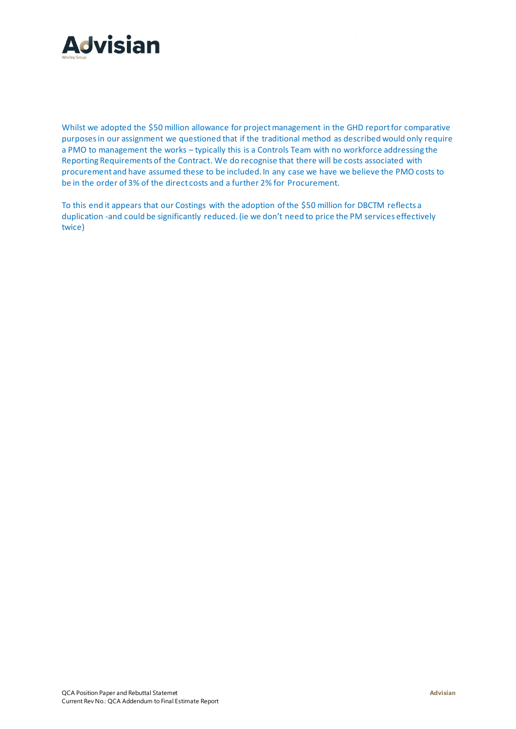

Whilst we adopted the \$50 million allowance for project management in the GHD report for comparative purposes in our assignment we questioned that if the traditional method as described would only require a PMO to management the works – typically this is a Controls Team with no workforce addressing the Reporting Requirements of the Contract. We do recognise that there will be costs associated with procurement and have assumed these to be included. In any case we have we believe the PMO costs to be in the order of 3% of the direct costs and a further 2% for Procurement.

To this end it appears that our Costings with the adoption of the \$50 million for DBCTM reflects a duplication -and could be significantly reduced. (ie we don't need to price the PM services effectively twice)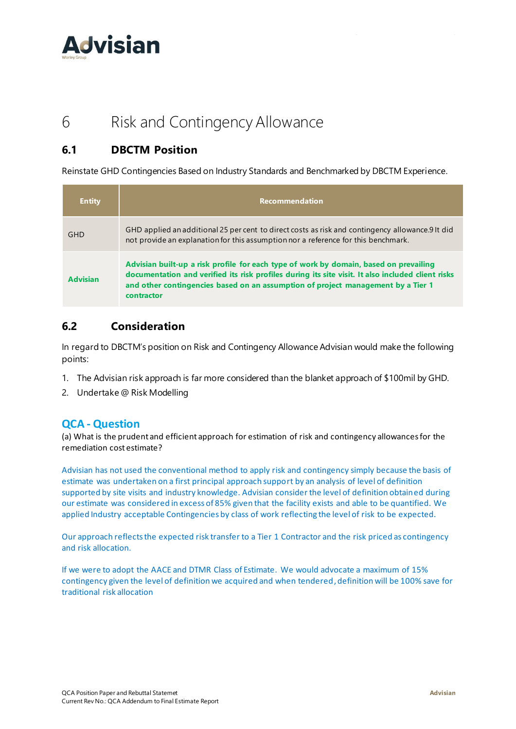

## <span id="page-12-0"></span>6 Risk and Contingency Allowance

#### <span id="page-12-1"></span>**6.1 DBCTM Position**

Reinstate GHD Contingencies Based on Industry Standards and Benchmarked by DBCTM Experience.

| <b>Entity</b>   | <b>Recommendation</b>                                                                                                                                                                                                                                                                        |
|-----------------|----------------------------------------------------------------------------------------------------------------------------------------------------------------------------------------------------------------------------------------------------------------------------------------------|
| <b>GHD</b>      | GHD applied an additional 25 per cent to direct costs as risk and contingency allowance.9 It did<br>not provide an explanation for this assumption nor a reference for this benchmark.                                                                                                       |
| <b>Advisian</b> | Advisian built-up a risk profile for each type of work by domain, based on prevailing<br>documentation and verified its risk profiles during its site visit. It also included client risks<br>and other contingencies based on an assumption of project management by a Tier 1<br>contractor |

#### <span id="page-12-2"></span>**6.2 Consideration**

In regard to DBCTM's position on Risk and Contingency Allowance Advisian would make the following points:

- 1. The Advisian risk approach is far more considered than the blanket approach of \$100mil by GHD.
- 2. Undertake @ Risk Modelling

#### **QCA - Question**

(a) What is the prudent and efficient approach for estimation of risk and contingency allowances for the remediation cost estimate?

Advisian has not used the conventional method to apply risk and contingency simply because the basis of estimate was undertaken on a first principal approach support by an analysis of level of definition supported by site visits and industry knowledge. Advisian consider the level of definition obtained during our estimate was considered in excess of 85% given that the facility exists and able to be quantified. We applied Industry acceptable Contingencies by class of work reflecting the level of risk to be expected.

Our approach reflects the expected risk transfer to a Tier 1 Contractor and the risk priced as contingency and risk allocation.

If we were to adopt the AACE and DTMR Class of Estimate. We would advocate a maximum of 15% contingency given the level of definition we acquired and when tendered, definition will be 100% save for traditional risk allocation